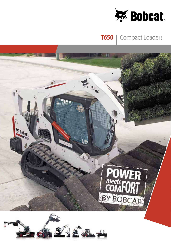

## **T650** | Compact Loaders